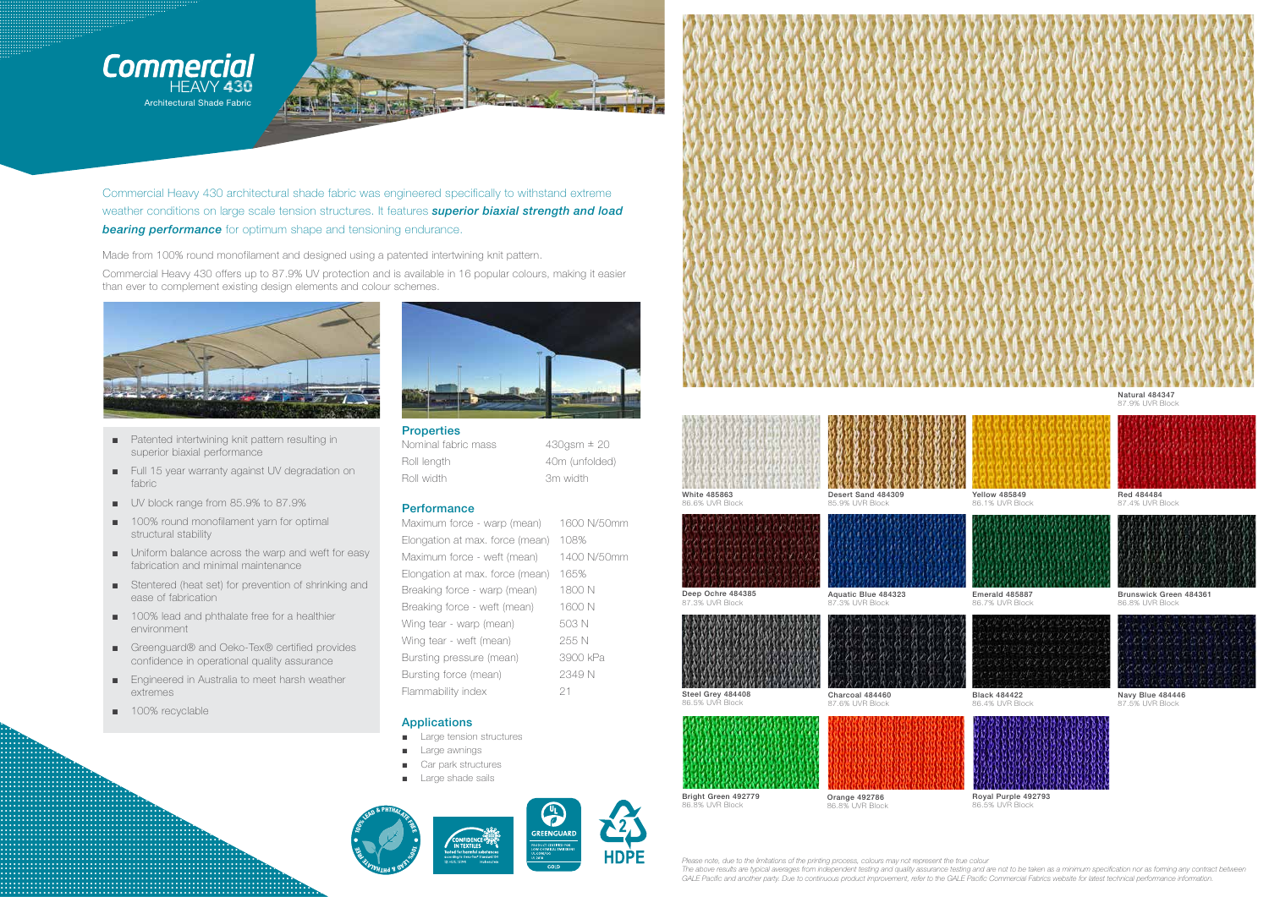



Commercial Heavy 430 architectural shade fabric was engineered specifically to withstand extreme weather conditions on large scale tension structures. It features superior biaxial strength and load **bearing performance** for optimum shape and tensioning endurance.

Made from 100% round monofilament and designed using a patented intertwining knit pattern.

Commercial Heavy 430 offers up to 87.9% UV protection and is available in 16 popular colours, making it easier than ever to complement existing design elements and colour schemes.



- Patented intertwining knit pattern resulting in superior biaxial performance
- Full 15 year warranty against UV degradation on fabric
- UV block range from 85.9% to 87.9%
- 100% round monofilament yarn for optimal structural stability
- Uniform balance across the warp and weft for easy fabrication and minimal maintenance
- Stentered (heat set) for prevention of shrinking and ease of fabrication
- 100% lead and phthalate free for a healthier environment
- Greenquard® and Oeko-Tex® certified provides confidence in operational quality assurance
- Engineered in Australia to meet harsh weather extremes
- 100% recyclable



**Properties** Nominal fabric mass Roll length Roll width

 $430$ gsm  $\pm 20$ 40m (unfolded) 3m width

## Performance

Maximum force - warp (mean) 1600 N/50mm Elongation at max. force (mean) 108% Maximum force - weft (mean) 1400 N/50mm Elongation at max. force (mean) 165% Breaking force - warp (mean) 1800 N Breaking force - weft (mean) 1600 N 503 N Wing tear - warp (mean) 255 N Wing tear - weft (mean) Bursting pressure (mean) 3900 kPa Bursting force (mean) 2349 N Flammability index 21

## **Applications**

- Large tension structures
- **Large awnings**
- Car park structures  $\blacksquare$
- Large shade sails  $\mathbf{m}$













85.9% LIVR Block

| Aquatic Blue 484323<br>eep Ochre 484385 |  |  |  |  |  |  |  |  |  |  |  |  |
|-----------------------------------------|--|--|--|--|--|--|--|--|--|--|--|--|

Deep Ochre 484385 87.3% LIVR Block

86.5% UVR Block





87.3% UVR Block

Bright Green 492779 86.8% LIVR Block

Orange 492786 86.8% UVR Block

Please note, due to the limitations of the printing process, colours may not represent the true colour GALE Pacific and another party. Due to continuous product improvement, refer to the GALE Pacific Commercial Fabrics website for latest technical performance information.







**Yellow 485849** 86.1% UVR Block



Emerald 485887 86.7% LIVR Block



**Black 484422** 86.4% LIVR Block



Royal Purple 492793 86.5% LIVR Block

Natural 484347 87.9% UVR Bloc



Red 484484 87 4% UVB Block



Brunswick Green 484361 86.8% UVR Block



Navy Blue 484446 87 5% IN/R Block

The above results are typical averages from independent testing and quality assurance testing and are not to be taken as a minimum specification nor as forming any contract between